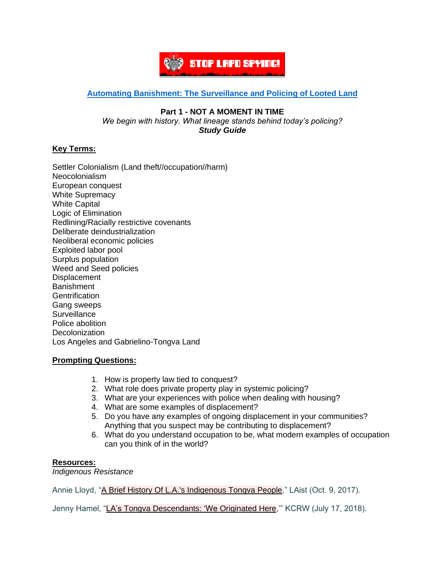

# **[Automating Banishment: The Surveillance and Policing of Looted Land](https://automatingbanishment.org/)**

#### **Part 1 - NOT A MOMENT IN TIME** *We begin with history. What lineage stands behind today's policing?*

*Study Guide*

# **Key Terms:**

Settler Colonialism (Land theft//occupation//harm) Neocolonialism European conquest White Supremacy White Capital Logic of Elimination Redlining/Racially restrictive covenants Deliberate deindustrialization Neoliberal economic policies Exploited labor pool Surplus population Weed and Seed policies **Displacement Banishment Gentrification** Gang sweeps **Surveillance** Police abolition **Decolonization** Los Angeles and Gabrielino-Tongva Land

# **Prompting Questions:**

- 1. How is property law tied to conquest?
- 2. What role does private property play in systemic policing?
- 3. What are your experiences with police when dealing with housing?
- 4. What are some examples of displacement?
- 5. Do you have any examples of ongoing displacement in your communities? Anything that you suspect may be contributing to displacement?
- 6. What do you understand occupation to be, what modern examples of occupation can you think of in the world?

### **Resources:**

*Indigenous Resistance*

Annie Lloyd, "A Brief History Of L.A.'s [Indigenous](https://laist.com/2017/10/09/a_brief_history_of_the_tongva_people.php) Tongva People," LAist (Oct. 9, 2017).

Jenny Hamel, "LA's Tongva [Descendants:](https://www.kcrw.com/culture/shows/curious-coast/las-tongva-descendants-we-originated-here) 'We Originated Here,'" KCRW (July 17, 2018).